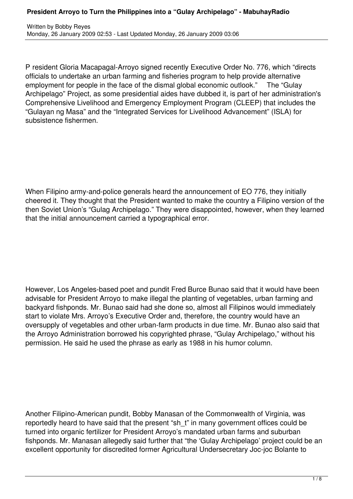P resident Gloria Macapagal-Arroyo signed recently Executive Order No. 776, which "directs officials to undertake an urban farming and fisheries program to help provide alternative employment for people in the face of the dismal global economic outlook." The "Gulay Archipelago" Project, as some presidential aides have dubbed it, is part of her administration's Comprehensive Livelihood and Emergency Employment Program (CLEEP) that includes the "Gulayan ng Masa" and the "Integrated Services for Livelihood Advancement" (ISLA) for subsistence fishermen.

When Filipino army-and-police generals heard the announcement of EO 776, they initially cheered it. They thought that the President wanted to make the country a Filipino version of the then Soviet Union's "Gulag Archipelago." They were disappointed, however, when they learned that the initial announcement carried a typographical error.

However, Los Angeles-based poet and pundit Fred Burce Bunao said that it would have been advisable for President Arroyo to make illegal the planting of vegetables, urban farming and backyard fishponds. Mr. Bunao said had she done so, almost all Filipinos would immediately start to violate Mrs. Arroyo's Executive Order and, therefore, the country would have an oversupply of vegetables and other urban-farm products in due time. Mr. Bunao also said that the Arroyo Administration borrowed his copyrighted phrase, "Gulay Archipelago," without his permission. He said he used the phrase as early as 1988 in his humor column.

Another Filipino-American pundit, Bobby Manasan of the Commonwealth of Virginia, was reportedly heard to have said that the present "sh\_t" in many government offices could be turned into organic fertilizer for President Arroyo's mandated urban farms and suburban fishponds. Mr. Manasan allegedly said further that "the 'Gulay Archipelago' project could be an excellent opportunity for discredited former Agricultural Undersecretary Joc-joc Bolante to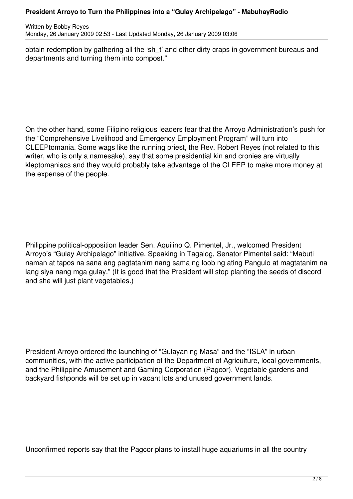Written by Bobby Reyes Monday, 26 January 2009 02:53 - Last Updated Monday, 26 January 2009 03:06

obtain redemption by gathering all the 'sh\_t' and other dirty craps in government bureaus and departments and turning them into compost."

On the other hand, some Filipino religious leaders fear that the Arroyo Administration's push for the "Comprehensive Livelihood and Emergency Employment Program" will turn into CLEEPtomania. Some wags like the running priest, the Rev. Robert Reyes (not related to this writer, who is only a namesake), say that some presidential kin and cronies are virtually kleptomaniacs and they would probably take advantage of the CLEEP to make more money at the expense of the people.

Philippine political-opposition leader Sen. Aquilino Q. Pimentel, Jr., welcomed President Arroyo's "Gulay Archipelago" initiative. Speaking in Tagalog, Senator Pimentel said: "Mabuti naman at tapos na sana ang pagtatanim nang sama ng loob ng ating Pangulo at magtatanim na lang siya nang mga gulay." (It is good that the President will stop planting the seeds of discord and she will just plant vegetables.)

President Arroyo ordered the launching of "Gulayan ng Masa" and the "ISLA" in urban communities, with the active participation of the Department of Agriculture, local governments, and the Philippine Amusement and Gaming Corporation (Pagcor). Vegetable gardens and backyard fishponds will be set up in vacant lots and unused government lands.

Unconfirmed reports say that the Pagcor plans to install huge aquariums in all the country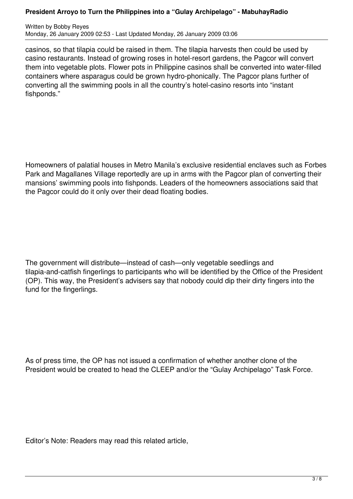## **President Arroyo to Turn the Philippines into a "Gulay Archipelago" - MabuhayRadio**

Written by Bobby Reyes Monday, 26 January 2009 02:53 - Last Updated Monday, 26 January 2009 03:06

casinos, so that tilapia could be raised in them. The tilapia harvests then could be used by casino restaurants. Instead of growing roses in hotel-resort gardens, the Pagcor will convert them into vegetable plots. Flower pots in Philippine casinos shall be converted into water-filled containers where asparagus could be grown hydro-phonically. The Pagcor plans further of converting all the swimming pools in all the country's hotel-casino resorts into "instant fishponds."

Homeowners of palatial houses in Metro Manila's exclusive residential enclaves such as Forbes Park and Magallanes Village reportedly are up in arms with the Pagcor plan of converting their mansions' swimming pools into fishponds. Leaders of the homeowners associations said that the Pagcor could do it only over their dead floating bodies.

The government will distribute—instead of cash—only vegetable seedlings and tilapia-and-catfish fingerlings to participants who will be identified by the Office of the President (OP). This way, the President's advisers say that nobody could dip their dirty fingers into the fund for the fingerlings.

As of press time, the OP has not issued a confirmation of whether another clone of the President would be created to head the CLEEP and/or the "Gulay Archipelago" Task Force.

Editor's Note: Readers may read this related article,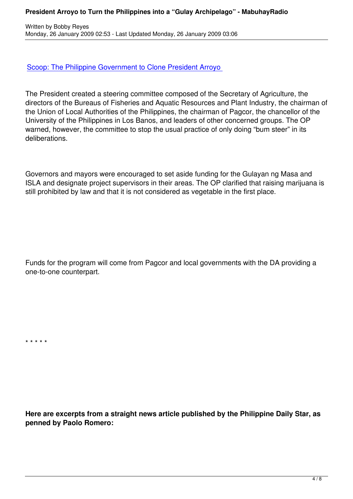## Scoop: The Philippine Government to Clone President Arroyo

[The President created a steering committee composed of the S](content/view/3393/51)ecretary of Agriculture, the directors of the Bureaus of Fisheries and Aquatic Resources and Plant Industry, the chairman of the Union of Local Authorities of the Philippines, the chairman of Pagcor, the chancellor of the University of the Philippines in Los Banos, and leaders of other concerned groups. The OP warned, however, the committee to stop the usual practice of only doing "bum steer" in its deliberations.

Governors and mayors were encouraged to set aside funding for the Gulayan ng Masa and ISLA and designate project supervisors in their areas. The OP clarified that raising marijuana is still prohibited by law and that it is not considered as vegetable in the first place.

Funds for the program will come from Pagcor and local governments with the DA providing a one-to-one counterpart.

\* \* \* \* \*

**Here are excerpts from a straight news article published by the Philippine Daily Star, as penned by Paolo Romero:**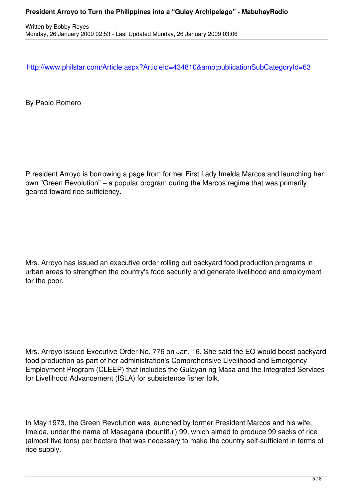http://www.philstar.com/Article.aspx?ArticleId=434810&publicationSubCategoryId=63

[By Paolo Romero](http://www.philstar.com/Article.aspx?ArticleId=434810&publicationSubCategoryId=63)

P resident Arroyo is borrowing a page from former First Lady Imelda Marcos and launching her own "Green Revolution" – a popular program during the Marcos regime that was primarily geared toward rice sufficiency.

Mrs. Arroyo has issued an executive order rolling out backyard food production programs in urban areas to strengthen the country's food security and generate livelihood and employment for the poor.

Mrs. Arroyo issued Executive Order No. 776 on Jan. 16. She said the EO would boost backyard food production as part of her administration's Comprehensive Livelihood and Emergency Employment Program (CLEEP) that includes the Gulayan ng Masa and the Integrated Services for Livelihood Advancement (ISLA) for subsistence fisher folk.

In May 1973, the Green Revolution was launched by former President Marcos and his wife, Imelda, under the name of Masagana (bountiful) 99, which aimed to produce 99 sacks of rice (almost five tons) per hectare that was necessary to make the country self-sufficient in terms of rice supply.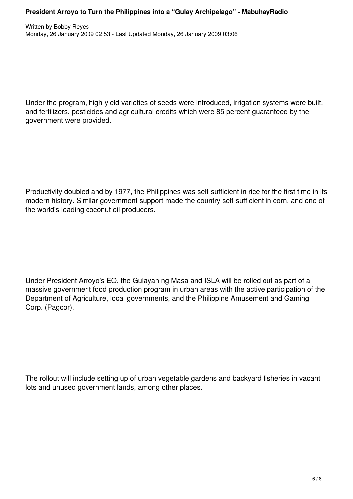Under the program, high-yield varieties of seeds were introduced, irrigation systems were built, and fertilizers, pesticides and agricultural credits which were 85 percent guaranteed by the government were provided.

Productivity doubled and by 1977, the Philippines was self-sufficient in rice for the first time in its modern history. Similar government support made the country self-sufficient in corn, and one of the world's leading coconut oil producers.

Under President Arroyo's EO, the Gulayan ng Masa and ISLA will be rolled out as part of a massive government food production program in urban areas with the active participation of the Department of Agriculture, local governments, and the Philippine Amusement and Gaming Corp. (Pagcor).

The rollout will include setting up of urban vegetable gardens and backyard fisheries in vacant lots and unused government lands, among other places.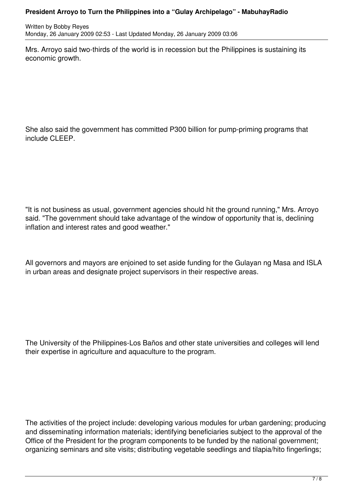## **President Arroyo to Turn the Philippines into a "Gulay Archipelago" - MabuhayRadio**

Written by Bobby Reyes Monday, 26 January 2009 02:53 - Last Updated Monday, 26 January 2009 03:06

Mrs. Arroyo said two-thirds of the world is in recession but the Philippines is sustaining its economic growth.

She also said the government has committed P300 billion for pump-priming programs that include CLEEP.

"It is not business as usual, government agencies should hit the ground running," Mrs. Arroyo said. "The government should take advantage of the window of opportunity that is, declining inflation and interest rates and good weather."

All governors and mayors are enjoined to set aside funding for the Gulayan ng Masa and ISLA in urban areas and designate project supervisors in their respective areas.

The University of the Philippines-Los Baños and other state universities and colleges will lend their expertise in agriculture and aquaculture to the program.

The activities of the project include: developing various modules for urban gardening; producing and disseminating information materials; identifying beneficiaries subject to the approval of the Office of the President for the program components to be funded by the national government; organizing seminars and site visits; distributing vegetable seedlings and tilapia/hito fingerlings;